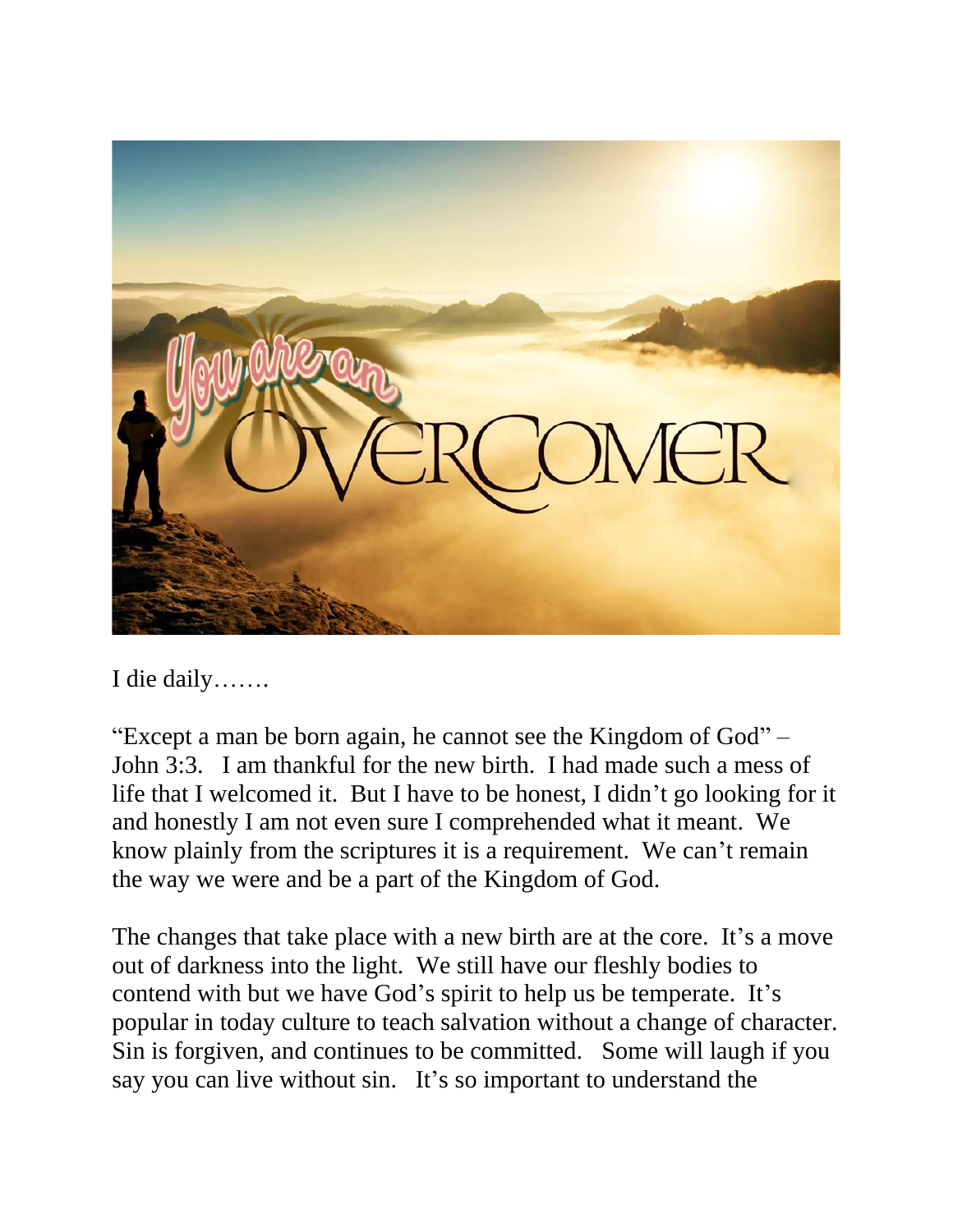

I die daily…….

"Except a man be born again, he cannot see the Kingdom of God" – John 3:3. I am thankful for the new birth. I had made such a mess of life that I welcomed it. But I have to be honest, I didn't go looking for it and honestly I am not even sure I comprehended what it meant. We know plainly from the scriptures it is a requirement. We can't remain the way we were and be a part of the Kingdom of God.

The changes that take place with a new birth are at the core. It's a move out of darkness into the light. We still have our fleshly bodies to contend with but we have God's spirit to help us be temperate. It's popular in today culture to teach salvation without a change of character. Sin is forgiven, and continues to be committed. Some will laugh if you say you can live without sin. It's so important to understand the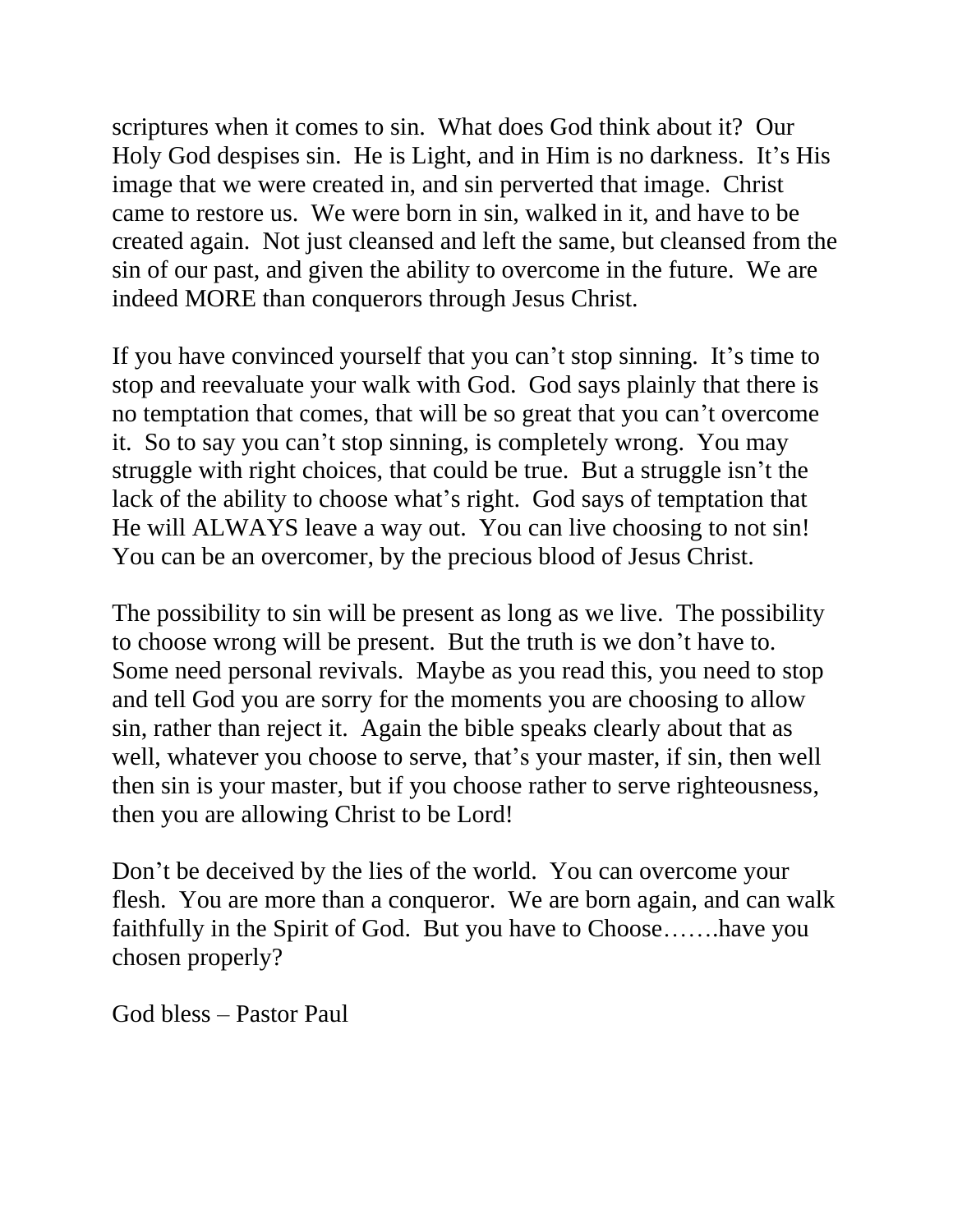scriptures when it comes to sin. What does God think about it? Our Holy God despises sin. He is Light, and in Him is no darkness. It's His image that we were created in, and sin perverted that image. Christ came to restore us. We were born in sin, walked in it, and have to be created again. Not just cleansed and left the same, but cleansed from the sin of our past, and given the ability to overcome in the future. We are indeed MORE than conquerors through Jesus Christ.

If you have convinced yourself that you can't stop sinning. It's time to stop and reevaluate your walk with God. God says plainly that there is no temptation that comes, that will be so great that you can't overcome it. So to say you can't stop sinning, is completely wrong. You may struggle with right choices, that could be true. But a struggle isn't the lack of the ability to choose what's right. God says of temptation that He will ALWAYS leave a way out. You can live choosing to not sin! You can be an overcomer, by the precious blood of Jesus Christ.

The possibility to sin will be present as long as we live. The possibility to choose wrong will be present. But the truth is we don't have to. Some need personal revivals. Maybe as you read this, you need to stop and tell God you are sorry for the moments you are choosing to allow sin, rather than reject it. Again the bible speaks clearly about that as well, whatever you choose to serve, that's your master, if sin, then well then sin is your master, but if you choose rather to serve righteousness, then you are allowing Christ to be Lord!

Don't be deceived by the lies of the world. You can overcome your flesh. You are more than a conqueror. We are born again, and can walk faithfully in the Spirit of God. But you have to Choose…….have you chosen properly?

God bless – Pastor Paul